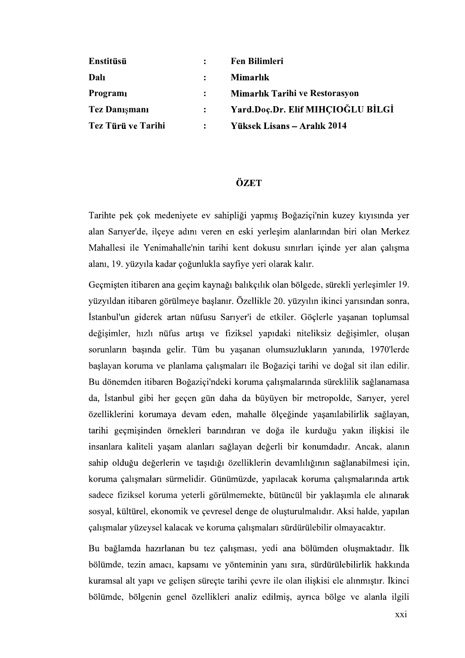| Enstitüsü            |                | <b>Fen Bilimleri</b>                  |
|----------------------|----------------|---------------------------------------|
| Dalı                 |                | <b>Mimarlık</b>                       |
| Programi             |                | <b>Mimarlık Tarihi ve Restorasyon</b> |
| <b>Tez Danişmanı</b> |                | Yard.Doç.Dr. Elif MIHCIOĞLU BİLGİ     |
| Tez Türü ve Tarihi   | $\ddot{\cdot}$ | Yüksek Lisans – Aralık 2014           |

## ÖZET

Tarihte pek çok medeniyete ev sahipliği yapmış Boğaziçi'nin kuzey kıyısında yer alan Sarıyer'de, ilçeye adını veren en eski yerleşim alanlarından biri olan Merkez Mahallesi ile Yenimahalle'nin tarihi kent dokusu sınırları içinde yer alan çalışma alanı, 19. yüzyıla kadar çoğunlukla sayfiye yeri olarak kalır.

Geçmişten itibaren ana geçim kaynağı balıkçılık olan bölgede, sürekli yerleşimler 19. isindan sonra,<br>ian toplumsal<br>imler, oluşan<br>a, 1970'lerde<br>sit ilan edilir. Bu dönemden itibaren Boğaziçi'ndeki koruma çalışmalarında süreklilik sağlanamasa da, İstanbul gibi her geçen gün daha da büyüyen bir metropolde, Sarıyer, yerel özelliklerini korumaya devam eden, mahalle ölçeğinde yaşanılabilirlik sağlayan, tarihi geçmişinden örnekleri barındıran ve doğa ile kurduğu yakın ilişkisi ile insanlara kaliteli yaşam alanları sağlayan değerli bir konumdadır. Ancak, alanın sahip olduğu değerlerin ve taşıdığı özelliklerin devamlılığının sağlanabilmesi için,<br>koruma çalışmaları sürmelidir. Günümüzde, yapılacak koruma çalışmalarında artık<br>sadece fiziksel koruma yeterli görülmemekte, bütüncül bir sosyal, kültürel, ekonomik ve çevresel denge de oluşturulmalıdır. Aksi halde, yapılan çalışmalar yüzeysel kalacak ve koruma çalışmaları sürdürülebilir olmayacaktır.

Bu bağlamda hazırlanan bu tez çalışması, yedi ana bölümden oluşmaktadır. İlk bölümde, tezin amacı, kapsamı ve yönteminin yanı sıra, sürdürülebilirlik hakkında kuramsal alt yapı ve gelişen süreçte tarihi çevre ile olan ilişkisi ele alınmıştır. İkinci bölümde, bölgenin genel özellikleri analiz edilmiş, ayrıca bölge ve alanla ilgili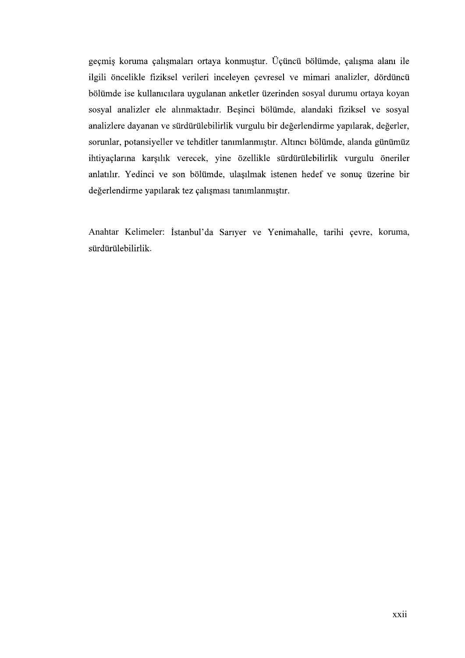geçmiş koruma çalışmaları ortaya konmuştur. Üçüncü bölümde, çalışma alanı ile ilgili öncelikle fiziksel verileri inceleyen çevresel ve mimari analizler, dördüncü bölümde ise kullanıcılara uygulanan anketler üzerinden sosyal durumu ortaya koyan sosyal analizler ele alınmaktadır. Beşinci bölümde, alandaki fiziksel ve sosyal analizlere dayanan ve sürdürülebilirlik vurgulu bir değerlendirme yapılarak, değerler, sorunlar, potansiyeller ve tehditler tanımlanmıştır. Altıncı bölümde, alanda günümüz ihtiyaçlarına karşılık verecek, yine özellikle sürdürülebilirlik vurgulu öneriler<br>anlatılır. Yedinci ve son bölümde, ulaşılmak istenen hedef ve sonuç üzerine bir<br>değerlendirme yapılarak tez çalışması tanımlanmıştır.<br>Anahta

sürdürülebilirlik.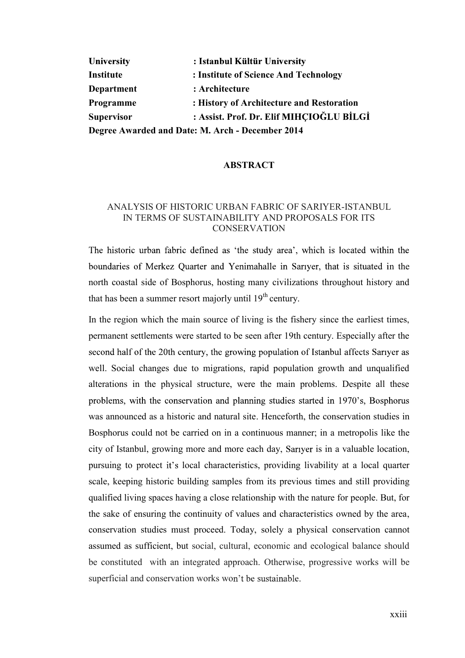| University        | : Istanbul Kültür University                     |  |
|-------------------|--------------------------------------------------|--|
| Institute         | : Institute of Science And Technology            |  |
| Department        | : Architecture                                   |  |
| Programme         | : History of Architecture and Restoration        |  |
| <b>Supervisor</b> | : Assist. Prof. Dr. Elif MIHCIOĞLU BİLGİ         |  |
|                   | Degree Awarded and Date: M. Arch - December 2014 |  |

## **ABSTRACT**

## ANALYSIS OF HISTORIC URBAN FABRIC OF SARIYER-ISTANBUL IN TERMS OF SUSTAINABILITY AND PROPOSALS FOR ITS **CONSERVATION**

The historic urban fabric defined as 'the study area', which is located within the boundaries of Merkez Quarter and Yenimahalle in Sariyer, that is situated in the north coastal side of Bosphorus, hosting many civilizations throughout history and that has been a summer resort majorly until  $19<sup>th</sup>$  century.

In the region which the main source of living is the fishery since the earliest times, permanent settlements were started to be seen after 19th century. Especially after the second half of the 20th century, the growing population of Istanbul affects Sariyer as well. Social changes due to migrations, rapid population growth and unqualified alterations in the physical structure, were the main problems. Despite all these problems, with the conservation and planning studies started in 1970's, Bosphorus was announced as a historic and natural site. Henceforth, the conservation studies in Bosphorus could not be carried on in a continuous manner; in a metropolis like the city of Istanbul, growing more and more each day, Sariver is in a valuable location, pursuing to protect it's local characteristics, providing livability at a local quarter scale, keeping historic building samples from its previous times and still providing qualified living spaces having a close relationship with the nature for people. But, for the sake of ensuring the continuity of values and characteristics owned by the area, conservation studies must proceed. Today, solely a physical conservation cannot assumed as sufficient, but social, cultural, economic and ecological balance should be constituted with an integrated approach. Otherwise, progressive works will be superficial and conservation works won't be sustainable.